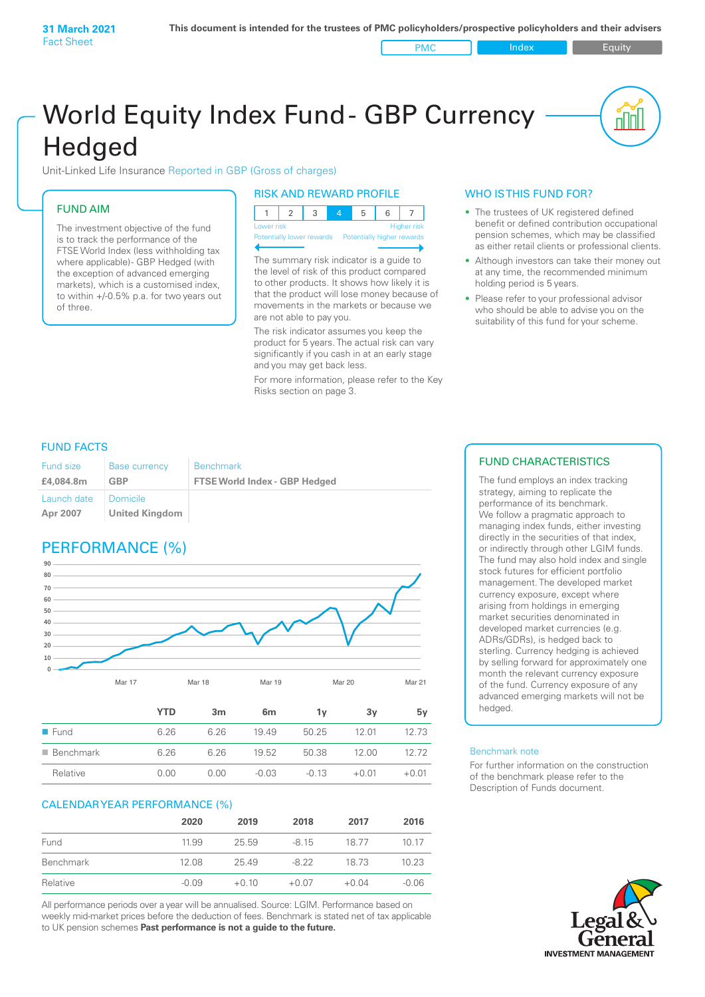World Equity Index Fund- GBP Currency **Hedged** 

Unit-Linked Life Insurance Reported in GBP (Gross of charges)

## FUND AIM

The investment objective of the fund is to track the performance of the FTSE World Index (less withholding tax where applicable) - GBP Hedged (with the exception of advanced emerging markets), which is a customised index, to within +/‑0.5% p.a. for two years out of three.

#### RISK AND REWARD PROFILE

| Lower risk |  |  | <b>Higher risk</b> |
|------------|--|--|--------------------|

ntially lower rewards

The summary risk indicator is a guide to the level of risk of this product compared to other products. It shows how likely it is that the product will lose money because of movements in the markets or because we are not able to pay you.

The risk indicator assumes you keep the product for 5 years. The actual risk can vary significantly if you cash in at an early stage and you may get back less.

For more information, please refer to the Key Risks section on page 3.

## WHO IS THIS FUND FOR?

PMC Index PMC Equity

The trustees of UK registered defined benefit or defined contribution occupational pension schemes, which may be classified as either retail clients or professional clients.

nn

- Although investors can take their money out at any time, the recommended minimum holding period is 5 years.
- Please refer to your professional advisor who should be able to advise you on the suitability of this fund for your scheme.

### FUND FACTS

| <b>Fund size</b>        | <b>Base currency</b>       | <b>Benchmark</b>                     |
|-------------------------|----------------------------|--------------------------------------|
| £4,084.8m               | GBP                        | <b>FTSE World Index - GBP Hedged</b> |
| Launch date<br>Apr 2007 | Domicile<br>United Kingdom |                                      |

# PERFORMANCE (%)



|                          | <b>YTD</b> | 3m   | 6 <sub>m</sub> | ٦v      | 3v      | 5ν      |
|--------------------------|------------|------|----------------|---------|---------|---------|
| $\blacksquare$ Fund      | 6.26       | 6.26 | 19.49          | 50.25   | 12 01   | 1273    |
| $\blacksquare$ Benchmark | 6.26       | 6.26 | 19.52          | 50.38   | 12.00   | 12.72   |
| Relative                 | 0.00       | 0.00 | $-0.03$        | $-0.13$ | $+0.01$ | $+0.01$ |

### CALENDAR YEAR PERFORMANCE (%)

|           | 2020    | 2019    | 2018    | 2017    | 2016    |
|-----------|---------|---------|---------|---------|---------|
| Fund      | 11.99   | 25.59   | -8.15   | 18.77   | 10 17   |
| Benchmark | 12.08   | 25.49   | -8.22   | 18 73   | 10.23   |
| Relative  | $-0.09$ | $+0.10$ | $+0.07$ | $+0.04$ | $-0.06$ |

All performance periods over a year will be annualised. Source: LGIM. Performance based on weekly mid-market prices before the deduction of fees. Benchmark is stated net of tax applicable to UK pension schemes **Past performance is not a guide to the future.**

## FUND CHARACTERISTICS

The fund employs an index tracking strategy, aiming to replicate the performance of its benchmark. We follow a pragmatic approach to managing index funds, either investing directly in the securities of that index, or indirectly through other LGIM funds. The fund may also hold index and single stock futures for efficient portfolio management. The developed market currency exposure, except where arising from holdings in emerging market securities denominated in developed market currencies (e.g. ADRs/GDRs), is hedged back to sterling. Currency hedging is achieved by selling forward for approximately one month the relevant currency exposure of the fund. Currency exposure of any advanced emerging markets will not be hedged.

#### Benchmark note

For further information on the construction of the benchmark please refer to the Description of Funds document.

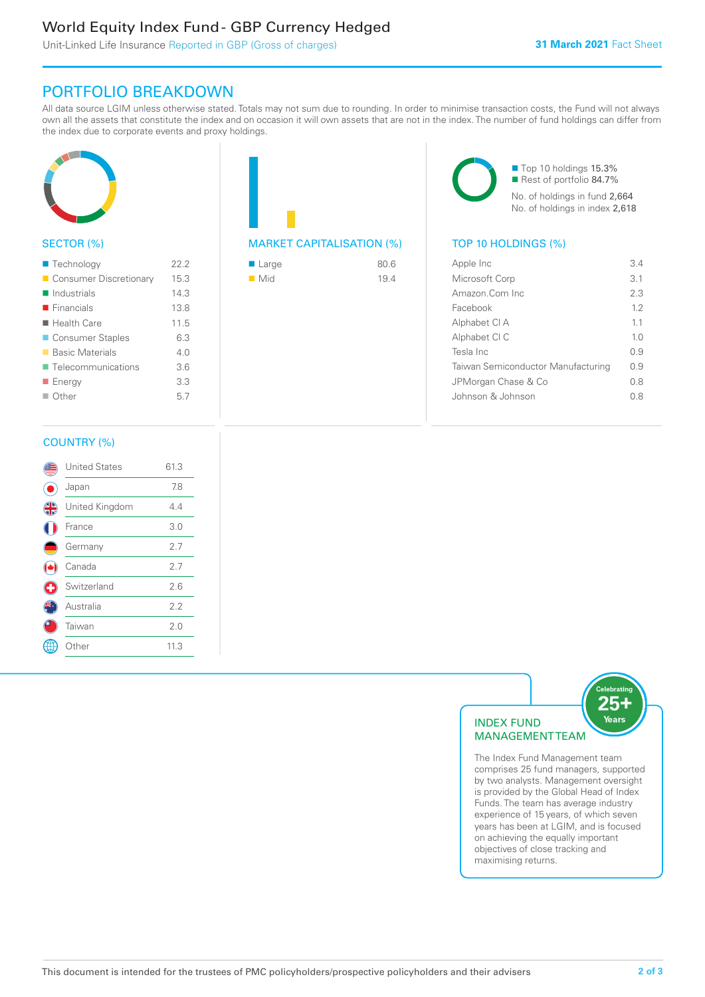## World Equity Index Fund - GBP Currency Hedged

Unit-Linked Life Insurance Reported in GBP (Gross of charges)

## PORTFOLIO BREAKDOWN

All data source LGIM unless otherwise stated. Totals may not sum due to rounding. In order to minimise transaction costs, the Fund will not always own all the assets that constitute the index and on occasion it will own assets that are not in the index. The number of fund holdings can differ from the index due to corporate events and proxy holdings.



## SECTOR (%)

| ■ Technology               | 22.2 |
|----------------------------|------|
| Consumer Discretionary     | 15.3 |
| $\blacksquare$ Industrials | 14.3 |
| $\blacksquare$ Financials  | 13.8 |
| $\blacksquare$ Health Care | 11.5 |
| ■ Consumer Staples         | 6.3  |
| ■ Basic Materials          | 40   |
| ■ Telecommunications       | 3.6  |
| ■ Energy                   | 3.3  |
| $\Box$ Other               | 5.7  |
|                            |      |

| <b>MARKET CAPITALISATION (%)</b> |  |
|----------------------------------|--|

| ■ Large            | 80.6 |
|--------------------|------|
| $\blacksquare$ Mid | 19.4 |

■ Top 10 holdings 15.3% ■ Rest of portfolio 84.7% No. of holdings in fund 2,664 No. of holdings in index 2,618

## TOP 10 HOLDINGS (%)

| Apple Inc                          | 34             |
|------------------------------------|----------------|
| Microsoft Corp                     | 31             |
| Amazon Com Inc.                    | 23             |
| Facebook                           | 12             |
| Alphabet CI A                      | 11             |
| Alphabet CI C                      | 1 <sub>0</sub> |
| Tesla Inc                          | O 9            |
| Taiwan Semiconductor Manufacturing | 0.9            |
| JPMorgan Chase & Co                | 0 S            |
| Johnson & Johnson                  | 0 S            |
|                                    |                |

### COUNTRY (%)

|   | <b>United States</b> | 61.3 |  |
|---|----------------------|------|--|
|   | Japan                | 7.8  |  |
| 4 | United Kingdom       | 4.4  |  |
|   | France               | 3.0  |  |
|   | Germany              | 2.7  |  |
|   | Canada               | 2.7  |  |
| U | Switzerland          | 2.6  |  |
|   | Australia            | 2.2  |  |
|   | Taiwan               | 2.0  |  |
|   | Other                | 11.3 |  |
|   |                      |      |  |



comprises 25 fund managers, supported by two analysts. Management oversight is provided by the Global Head of Index Funds. The team has average industry experience of 15 years, of which seven years has been at LGIM, and is focused on achieving the equally important objectives of close tracking and maximising returns.